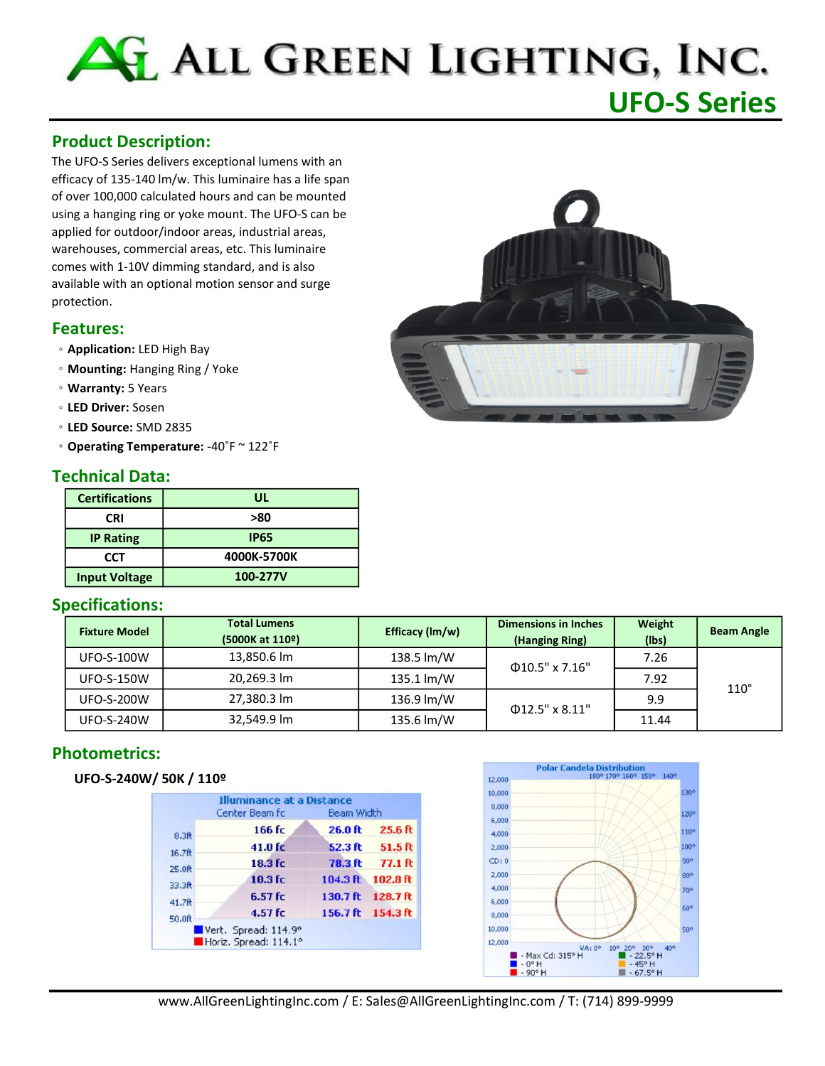# ALL GREEN LIGHTING, INC. UFO-S Series

# Product Description:

The UFO-S Series delivers exceptional lumens with an efficacy of 135-140 lm/w. This luminaire has a life span of over 100,000 calculated hours and can be mounted using a hanging ring or yoke mount. The UFO-S can be applied for outdoor/indoor areas, industrial areas, warehouses, commercial areas, etc. This luminaire comes with 1-10V dimming standard, and is also available with an optional motion sensor and surge protection.

#### Features:

- Application: LED High Bay
- Mounting: Hanging Ring / Yoke
- Warranty: 5 Years
- LED Driver: Sosen
- LED Source: SMD 2835
- Operating Temperature: -40˚F ~ 122˚F

## Technical Data:

| <b>Certifications</b> | UL          |  |  |
|-----------------------|-------------|--|--|
| <b>CRI</b>            | >80         |  |  |
| <b>IP Rating</b>      | <b>IP65</b> |  |  |
| CCT                   | 4000K-5700K |  |  |
| <b>Input Voltage</b>  | 100-277V    |  |  |

## Specifications:

| <b>Fixture Model</b> | <b>Total Lumens</b><br>(5000K at 110 <sup>o</sup> ) | Efficacy (Im/w) | <b>Dimensions in Inches</b><br>(Hanging Ring) | Weight<br>(lbs) | <b>Beam Angle</b> |
|----------------------|-----------------------------------------------------|-----------------|-----------------------------------------------|-----------------|-------------------|
| <b>UFO-S-100W</b>    | 13,850.6 lm                                         | 138.5 lm/W      | $\Phi$ 10.5" x 7.16"                          | 7.26            | $110^\circ$       |
| <b>UFO-S-150W</b>    | 20,269.3 lm                                         | 135.1 lm/W      |                                               | 7.92            |                   |
| <b>UFO-S-200W</b>    | 27,380.3 lm                                         | 136.9 lm/W      | $\Phi$ 12.5" x 8.11"                          | 9.9             |                   |
| <b>UFO-S-240W</b>    | 32,549.9 lm                                         | 135.6 lm/W      |                                               | 11.44           |                   |

# Photometrics:

#### UFO-S-240W/ 50K / 110º